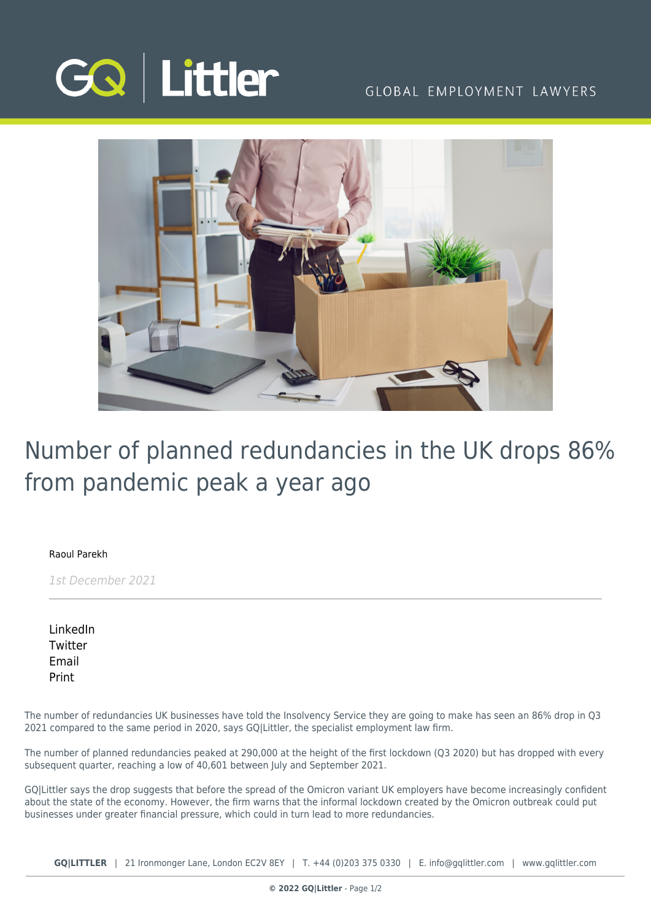

### GLOBAL EMPLOYMENT LAWYERS



# Number of planned redundancies in the UK drops 86% from pandemic peak a year ago

### [Raoul Parekh](https://www.gqlittler.com/about-us/the-team/raoul-parekh)

1st December 2021

[LinkedIn](https://www.linkedin.com/shareArticle?mini=true&url=https%3A%2F%2Fwww.gqlittler.com%2Fresources%2Fnews-and-views%2F1615-number-of-planned-redundancies-in-the-uk-drops-86-from-pandemic-peak-a-year-ago.htm%3Funlock%3Dtrue&title=Number+of+planned+redundancies+in+the+UK+drops+86%25+from+pandemic+peak+a+year+ago&summary=But+Omicron+has+dented+that+confidence&source=GQ+%7C+Littler) **[Twitter](https://twitter.com/share?text=Number+of+planned+redundancies+in+the+UK+drops+86%25+from+pandemic+peak+a+year+ago&url=https%3A%2F%2Fwww.gqlittler.com%2Fresources%2Fnews-and-views%2F1615-number-of-planned-redundancies-in-the-uk-drops-86-from-pandemic-peak-a-year-ago.htm&hashtags=)** [Email](mailto:?subject=Number of planned redundancies in the UK drops 86% from pandemic peak a year ago&body=I) [Print](https://www.bg-pdf.co.uk/_GQ/page.php?M=6148523063484d364c793933643363755a33467361585230624756794c6d4e76625339795a584e7664584a6a5a584d76626d563363793168626d5174646d6c6c64334d764d5459784e533175645731695a5849746232597463477868626d356c5a4331795a575231626d5268626d4e705a584d74615734746447686c4c5856724c5752796233427a4c5467324c575a7962323074634746755a47567461574d7463475668617931684c586c6c59584974595764764c6d683062534e414930353162574a6c636942765a69427762474675626d566b49484a6c5a4856755a47467559326c6c637942706269423061475567565573675a484a7663484d674f44596c49475a7962323067634746755a47567461574d67634756686179426849486c6c59584967595764764930416a4d5459784e533175645731695a5849746232597463477868626d356c5a4331795a575231626d5268626d4e705a584d74615734746447686c4c5856724c5752796233427a4c5467324c575a7962323074634746755a47567461574d7463475668617931684c586c6c5958497459576476)

The number of redundancies UK businesses have told the Insolvency Service they are going to make has seen an 86% drop in Q3 2021 compared to the same period in 2020, says GQ|Littler, the specialist employment law firm.

The number of planned redundancies peaked at 290,000 at the height of the first lockdown (Q3 2020) but has dropped with every subsequent quarter, reaching a low of 40,601 between July and September 2021.

GQ|Littler says the drop suggests that before the spread of the Omicron variant UK employers have become increasingly confident about the state of the economy. However, the firm warns that the informal lockdown created by the Omicron outbreak could put businesses under greater financial pressure, which could in turn lead to more redundancies.

**GQ|LITTLER** | 21 Ironmonger Lane, London EC2V 8EY | T. [+44 \(0\)203 375 0330](https://www.bg-pdf.co.uk/_GQ/tel:+442033750330) | E. [info@gqlittler.com](mailto:info@gqlittler.com) | [www.gqlittler.com](https://www.gqlittler.com)